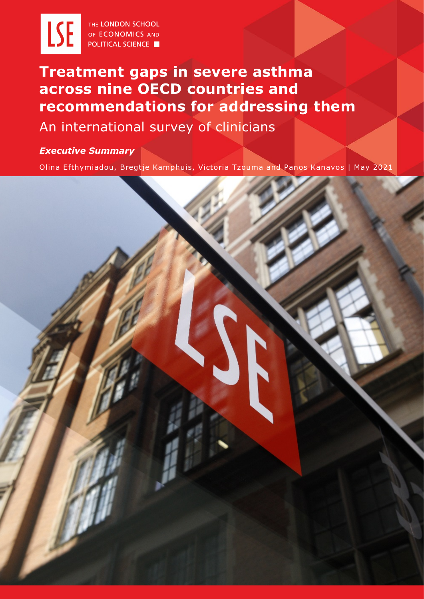

THE LONDON SCHOOL OF ECONOMICS AND **POLITICAL SCIENCE** 

# **Treatment gaps in severe asthma across nine OECD countries and recommendations for addressing them**

## An international survey of clinicians

*Executive Summary*

Olina Efthymiadou, Bregtje Kamphuis, Victoria Tzouma and Panos Kanavos | May 2021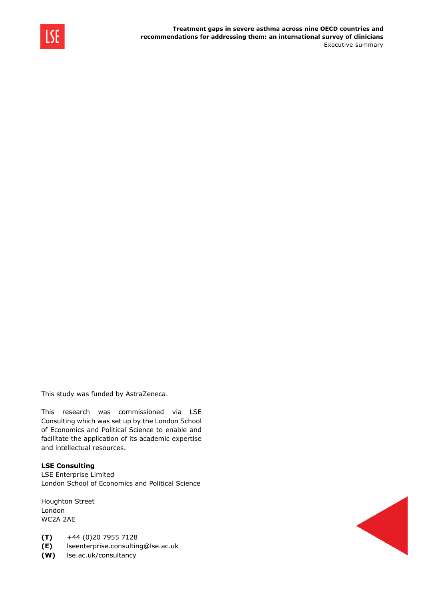

This study was funded by AstraZeneca.

This research was commissioned via LSE Consulting which was set up by the London School of Economics and Political Science to enable and facilitate the application of its academic expertise and intellectual resources.

#### **LSE Consulting**

LSE Enterprise Limited London School of Economics and Political Science

Houghton Street London WC2A 2AE

- **(T)** +44 (0)20 7955 7128
- **(E)** lseenterprise.consulting@lse.ac.uk
- **(W)** lse.ac.uk/consultancy

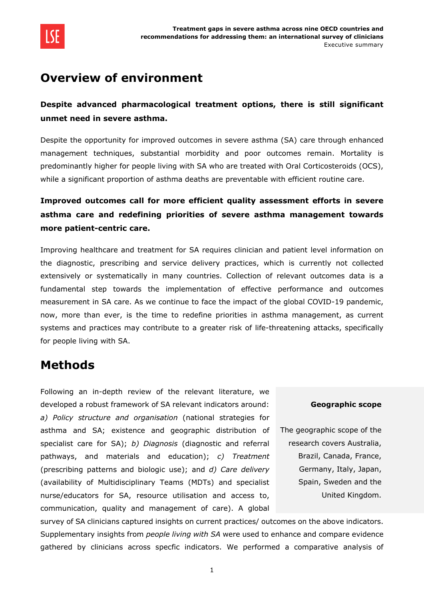

### **Overview of environment**

### **Despite advanced pharmacological treatment options, there is still significant unmet need in severe asthma.**

Despite the opportunity for improved outcomes in severe asthma (SA) care through enhanced management techniques, substantial morbidity and poor outcomes remain. Mortality is predominantly higher for people living with SA who are treated with Oral Corticosteroids (OCS), while a significant proportion of asthma deaths are preventable with efficient routine care.

### **Improved outcomes call for more efficient quality assessment efforts in severe asthma care and redefining priorities of severe asthma management towards more patient-centric care.**

Improving healthcare and treatment for SA requires clinician and patient level information on the diagnostic, prescribing and service delivery practices, which is currently not collected extensively or systematically in many countries. Collection of relevant outcomes data is a fundamental step towards the implementation of effective performance and outcomes measurement in SA care. As we continue to face the impact of the global COVID-19 pandemic, now, more than ever, is the time to redefine priorities in asthma management, as current systems and practices may contribute to a greater risk of life-threatening attacks, specifically for people living with SA.

### **Methods**

Following an in-depth review of the relevant literature, we developed a robust framework of SA relevant indicators around: *a) Policy structure and organisation* (national strategies for asthma and SA; existence and geographic distribution of specialist care for SA); *b) Diagnosis* (diagnostic and referral pathways, and materials and education); *c) Treatment*  (prescribing patterns and biologic use); and *d) Care delivery* (availability of Multidisciplinary Teams (MDTs) and specialist nurse/educators for SA, resource utilisation and access to, communication, quality and management of care). A global

#### **Geographic scope**

The geographic scope of the research covers Australia, Brazil, Canada, France, Germany, Italy, Japan, Spain, Sweden and the United Kingdom.

survey of SA clinicians captured insights on current practices/ outcomes on the above indicators. Supplementary insights from *people living with SA* were used to enhance and compare evidence gathered by clinicians across specfic indicators. We performed a comparative analysis of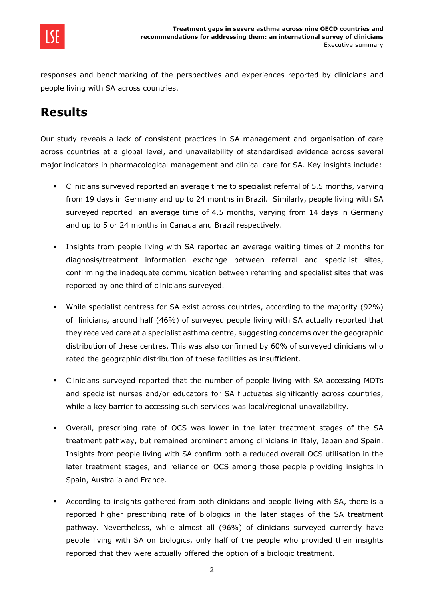

responses and benchmarking of the perspectives and experiences reported by clinicians and people living with SA across countries.

## **Results**

Our study reveals a lack of consistent practices in SA management and organisation of care across countries at a global level, and unavailability of standardised evidence across several major indicators in pharmacological management and clinical care for SA. Key insights include:

- Clinicians surveyed reported an average time to specialist referral of 5.5 months, varying from 19 days in Germany and up to 24 months in Brazil. Similarly, people living with SA surveyed reported an average time of 4.5 months, varying from 14 days in Germany and up to 5 or 24 months in Canada and Brazil respectively.
- Insights from people living with SA reported an average waiting times of 2 months for diagnosis/treatment information exchange between referral and specialist sites, confirming the inadequate communication between referring and specialist sites that was reported by one third of clinicians surveyed.
- While specialist centress for SA exist across countries, according to the majority (92%) of linicians, around half (46%) of surveyed people living with SA actually reported that they received care at a specialist asthma centre, suggesting concerns over the geographic distribution of these centres. This was also confirmed by 60% of surveyed clinicians who rated the geographic distribution of these facilities as insufficient.
- Clinicians surveyed reported that the number of people living with SA accessing MDTs and specialist nurses and/or educators for SA fluctuates significantly across countries, while a key barrier to accessing such services was local/regional unavailability.
- Overall, prescribing rate of OCS was lower in the later treatment stages of the SA treatment pathway, but remained prominent among clinicians in Italy, Japan and Spain. Insights from people living with SA confirm both a reduced overall OCS utilisation in the later treatment stages, and reliance on OCS among those people providing insights in Spain, Australia and France.
- According to insights gathered from both clinicians and people living with SA, there is a reported higher prescribing rate of biologics in the later stages of the SA treatment pathway. Nevertheless, while almost all (96%) of clinicians surveyed currently have people living with SA on biologics, only half of the people who provided their insights reported that they were actually offered the option of a biologic treatment.